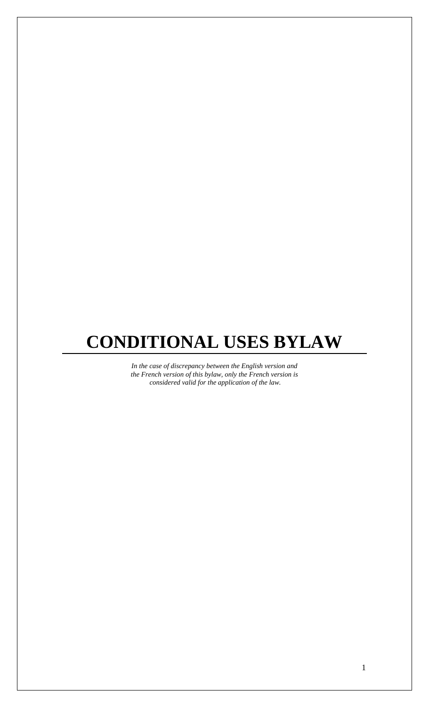# **CONDITIONAL USES BYLAW**

*In the case of discrepancy between the English version and the French version of this bylaw, only the French version is considered valid for the application of the law.*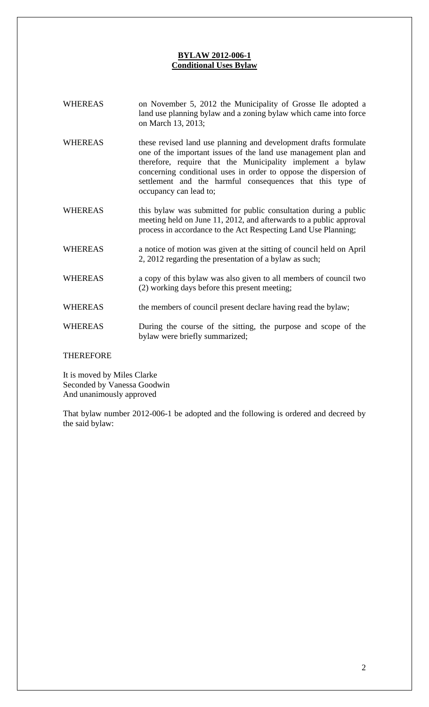# **BYLAW 2012-006-1 Conditional Uses Bylaw**

| <b>WHEREAS</b> | on November 5, 2012 the Municipality of Grosse Ile adopted a<br>land use planning bylaw and a zoning bylaw which came into force<br>on March 13, 2013;                                                                                                                                                                                                       |
|----------------|--------------------------------------------------------------------------------------------------------------------------------------------------------------------------------------------------------------------------------------------------------------------------------------------------------------------------------------------------------------|
| <b>WHEREAS</b> | these revised land use planning and development drafts formulate<br>one of the important issues of the land use management plan and<br>therefore, require that the Municipality implement a bylaw<br>concerning conditional uses in order to oppose the dispersion of<br>settlement and the harmful consequences that this type of<br>occupancy can lead to; |
| <b>WHEREAS</b> | this bylaw was submitted for public consultation during a public<br>meeting held on June 11, 2012, and afterwards to a public approval<br>process in accordance to the Act Respecting Land Use Planning;                                                                                                                                                     |
| <b>WHEREAS</b> | a notice of motion was given at the sitting of council held on April<br>2, 2012 regarding the presentation of a bylaw as such;                                                                                                                                                                                                                               |
| <b>WHEREAS</b> | a copy of this bylaw was also given to all members of council two<br>(2) working days before this present meeting;                                                                                                                                                                                                                                           |
| <b>WHEREAS</b> | the members of council present declare having read the bylaw;                                                                                                                                                                                                                                                                                                |
| <b>WHEREAS</b> | During the course of the sitting, the purpose and scope of the<br>bylaw were briefly summarized;                                                                                                                                                                                                                                                             |

# THEREFORE

It is moved by Miles Clarke Seconded by Vanessa Goodwin And unanimously approved

That bylaw number 2012-006-1 be adopted and the following is ordered and decreed by the said bylaw: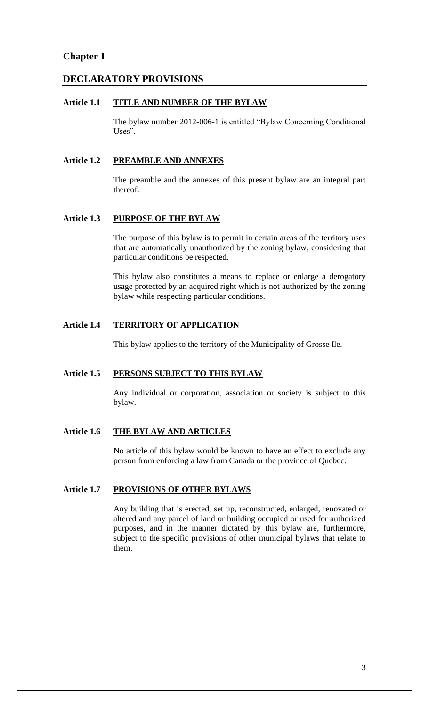# **Chapter 1**

## **DECLARATORY PROVISIONS**

#### **Article 1.1 TITLE AND NUMBER OF THE BYLAW**

The bylaw number 2012-006-1 is entitled "Bylaw Concerning Conditional Uses".

#### **Article 1.2 PREAMBLE AND ANNEXES**

The preamble and the annexes of this present bylaw are an integral part thereof.

## **Article 1.3 PURPOSE OF THE BYLAW**

The purpose of this bylaw is to permit in certain areas of the territory uses that are automatically unauthorized by the zoning bylaw, considering that particular conditions be respected.

This bylaw also constitutes a means to replace or enlarge a derogatory usage protected by an acquired right which is not authorized by the zoning bylaw while respecting particular conditions.

## **Article 1.4 TERRITORY OF APPLICATION**

This bylaw applies to the territory of the Municipality of Grosse Ile.

#### **Article 1.5 PERSONS SUBJECT TO THIS BYLAW**

Any individual or corporation, association or society is subject to this bylaw.

## **Article 1.6 THE BYLAW AND ARTICLES**

No article of this bylaw would be known to have an effect to exclude any person from enforcing a law from Canada or the province of Quebec.

## **Article 1.7 PROVISIONS OF OTHER BYLAWS**

Any building that is erected, set up, reconstructed, enlarged, renovated or altered and any parcel of land or building occupied or used for authorized purposes, and in the manner dictated by this bylaw are, furthermore, subject to the specific provisions of other municipal bylaws that relate to them.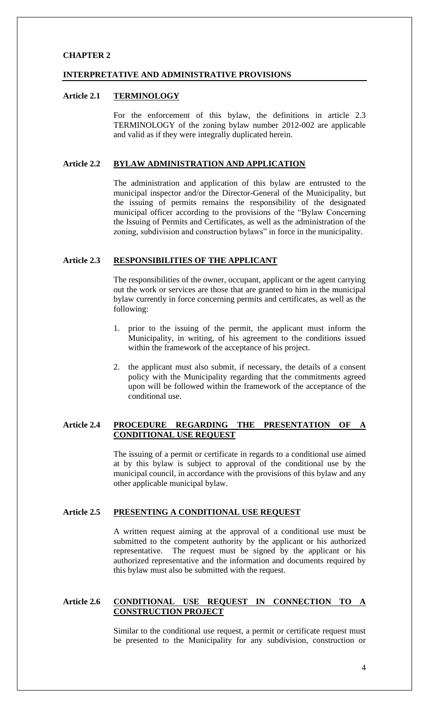## **CHAPTER 2**

#### **INTERPRETATIVE AND ADMINISTRATIVE PROVISIONS**

#### **Article 2.1 TERMINOLOGY**

For the enforcement of this bylaw, the definitions in article 2.3 TERMINOLOGY of the zoning bylaw number 2012-002 are applicable and valid as if they were integrally duplicated herein.

## **Article 2.2 BYLAW ADMINISTRATION AND APPLICATION**

The administration and application of this bylaw are entrusted to the municipal inspector and/or the Director-General of the Municipality, but the issuing of permits remains the responsibility of the designated municipal officer according to the provisions of the "Bylaw Concerning" the Issuing of Permits and Certificates, as well as the administration of the zoning, subdivision and construction bylaws" in force in the municipality.

## **Article 2.3 RESPONSIBILITIES OF THE APPLICANT**

The responsibilities of the owner, occupant, applicant or the agent carrying out the work or services are those that are granted to him in the municipal bylaw currently in force concerning permits and certificates, as well as the following:

- 1. prior to the issuing of the permit, the applicant must inform the Municipality, in writing, of his agreement to the conditions issued within the framework of the acceptance of his project.
- 2. the applicant must also submit, if necessary, the details of a consent policy with the Municipality regarding that the commitments agreed upon will be followed within the framework of the acceptance of the conditional use.

# **Article 2.4 PROCEDURE REGARDING THE PRESENTATION OF A CONDITIONAL USE REQUEST**

The issuing of a permit or certificate in regards to a conditional use aimed at by this bylaw is subject to approval of the conditional use by the municipal council, in accordance with the provisions of this bylaw and any other applicable municipal bylaw.

## **Article 2.5 PRESENTING A CONDITIONAL USE REQUEST**

A written request aiming at the approval of a conditional use must be submitted to the competent authority by the applicant or his authorized representative. The request must be signed by the applicant or his authorized representative and the information and documents required by this bylaw must also be submitted with the request.

## **Article 2.6 CONDITIONAL USE REQUEST IN CONNECTION TO A CONSTRUCTION PROJECT**

Similar to the conditional use request, a permit or certificate request must be presented to the Municipality for any subdivision, construction or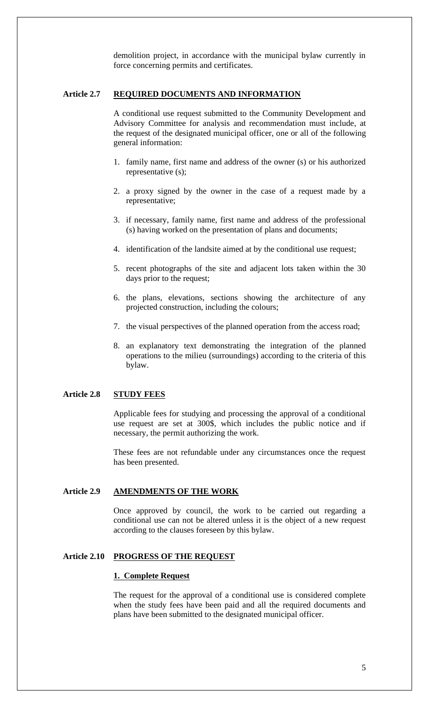demolition project, in accordance with the municipal bylaw currently in force concerning permits and certificates.

## **Article 2.7 REQUIRED DOCUMENTS AND INFORMATION**

A conditional use request submitted to the Community Development and Advisory Committee for analysis and recommendation must include, at the request of the designated municipal officer, one or all of the following general information:

- 1. family name, first name and address of the owner (s) or his authorized representative (s);
- 2. a proxy signed by the owner in the case of a request made by a representative;
- 3. if necessary, family name, first name and address of the professional (s) having worked on the presentation of plans and documents;
- 4. identification of the landsite aimed at by the conditional use request;
- 5. recent photographs of the site and adjacent lots taken within the 30 days prior to the request;
- 6. the plans, elevations, sections showing the architecture of any projected construction, including the colours;
- 7. the visual perspectives of the planned operation from the access road;
- 8. an explanatory text demonstrating the integration of the planned operations to the milieu (surroundings) according to the criteria of this bylaw.

## **Article 2.8 STUDY FEES**

Applicable fees for studying and processing the approval of a conditional use request are set at 300\$, which includes the public notice and if necessary, the permit authorizing the work.

These fees are not refundable under any circumstances once the request has been presented.

## **Article 2.9 AMENDMENTS OF THE WORK**

Once approved by council, the work to be carried out regarding a conditional use can not be altered unless it is the object of a new request according to the clauses foreseen by this bylaw.

## **Article 2.10 PROGRESS OF THE REQUEST**

#### **1. Complete Request**

The request for the approval of a conditional use is considered complete when the study fees have been paid and all the required documents and plans have been submitted to the designated municipal officer.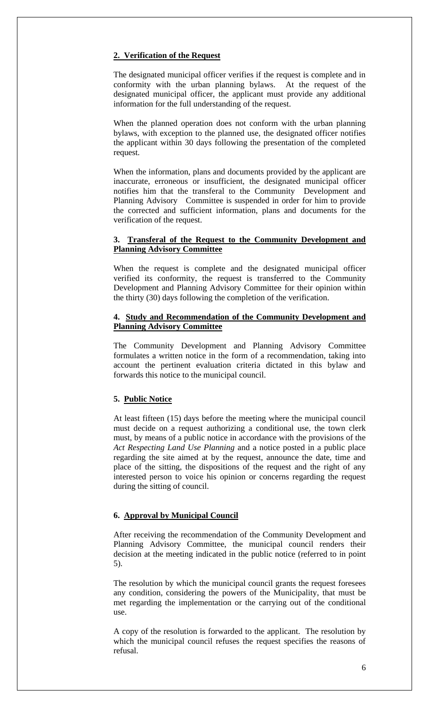## **2. Verification of the Request**

The designated municipal officer verifies if the request is complete and in conformity with the urban planning bylaws. At the request of the designated municipal officer, the applicant must provide any additional information for the full understanding of the request.

When the planned operation does not conform with the urban planning bylaws, with exception to the planned use, the designated officer notifies the applicant within 30 days following the presentation of the completed request.

When the information, plans and documents provided by the applicant are inaccurate, erroneous or insufficient, the designated municipal officer notifies him that the transferal to the Community Development and Planning Advisory Committee is suspended in order for him to provide the corrected and sufficient information, plans and documents for the verification of the request.

## **3. Transferal of the Request to the Community Development and Planning Advisory Committee**

When the request is complete and the designated municipal officer verified its conformity, the request is transferred to the Community Development and Planning Advisory Committee for their opinion within the thirty (30) days following the completion of the verification.

## **4. Study and Recommendation of the Community Development and Planning Advisory Committee**

The Community Development and Planning Advisory Committee formulates a written notice in the form of a recommendation, taking into account the pertinent evaluation criteria dictated in this bylaw and forwards this notice to the municipal council.

# **5. Public Notice**

At least fifteen (15) days before the meeting where the municipal council must decide on a request authorizing a conditional use, the town clerk must, by means of a public notice in accordance with the provisions of the *Act Respecting Land Use Planning* and a notice posted in a public place regarding the site aimed at by the request, announce the date, time and place of the sitting, the dispositions of the request and the right of any interested person to voice his opinion or concerns regarding the request during the sitting of council.

#### **6. Approval by Municipal Council**

After receiving the recommendation of the Community Development and Planning Advisory Committee, the municipal council renders their decision at the meeting indicated in the public notice (referred to in point 5).

The resolution by which the municipal council grants the request foresees any condition, considering the powers of the Municipality, that must be met regarding the implementation or the carrying out of the conditional use.

A copy of the resolution is forwarded to the applicant. The resolution by which the municipal council refuses the request specifies the reasons of refusal.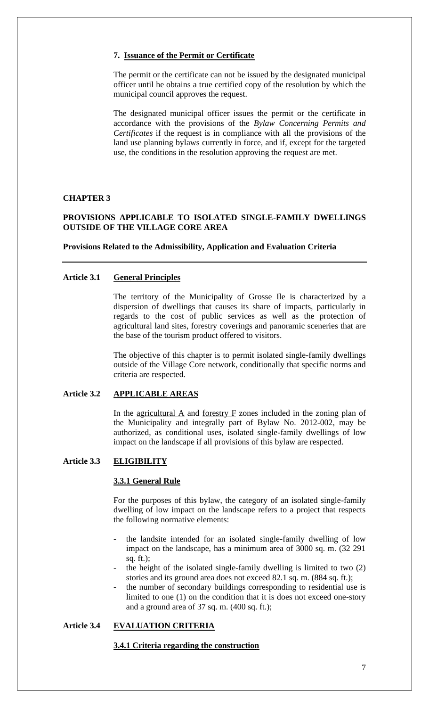## **7. Issuance of the Permit or Certificate**

The permit or the certificate can not be issued by the designated municipal officer until he obtains a true certified copy of the resolution by which the municipal council approves the request.

The designated municipal officer issues the permit or the certificate in accordance with the provisions of the *Bylaw Concerning Permits and Certificates* if the request is in compliance with all the provisions of the land use planning bylaws currently in force, and if, except for the targeted use, the conditions in the resolution approving the request are met.

## **CHAPTER 3**

# **PROVISIONS APPLICABLE TO ISOLATED SINGLE-FAMILY DWELLINGS OUTSIDE OF THE VILLAGE CORE AREA**

#### **Provisions Related to the Admissibility, Application and Evaluation Criteria**

## **Article 3.1 General Principles**

The territory of the Municipality of Grosse Ile is characterized by a dispersion of dwellings that causes its share of impacts, particularly in regards to the cost of public services as well as the protection of agricultural land sites, forestry coverings and panoramic sceneries that are the base of the tourism product offered to visitors.

The objective of this chapter is to permit isolated single-family dwellings outside of the Village Core network, conditionally that specific norms and criteria are respected.

# **Article 3.2 APPLICABLE AREAS**

In the agricultural A and forestry F zones included in the zoning plan of the Municipality and integrally part of Bylaw No. 2012-002, may be authorized, as conditional uses, isolated single-family dwellings of low impact on the landscape if all provisions of this bylaw are respected.

## **Article 3.3 ELIGIBILITY**

#### **3.3.1 General Rule**

For the purposes of this bylaw, the category of an isolated single-family dwelling of low impact on the landscape refers to a project that respects the following normative elements:

- the landsite intended for an isolated single-family dwelling of low impact on the landscape, has a minimum area of 3000 sq. m. (32 291 sq. ft.);
- the height of the isolated single-family dwelling is limited to two  $(2)$ stories and its ground area does not exceed 82.1 sq. m. (884 sq. ft.);
- the number of secondary buildings corresponding to residential use is limited to one (1) on the condition that it is does not exceed one-story and a ground area of 37 sq. m. (400 sq. ft.);

# **Article 3.4 EVALUATION CRITERIA**

#### **3.4.1 Criteria regarding the construction**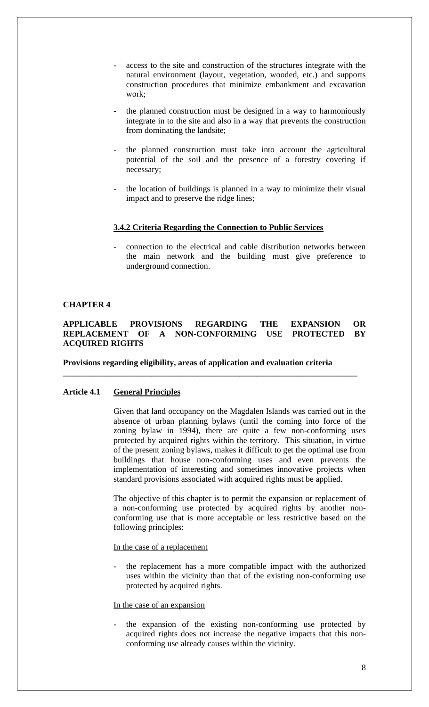- access to the site and construction of the structures integrate with the natural environment (layout, vegetation, wooded, etc.) and supports construction procedures that minimize embankment and excavation work;
- the planned construction must be designed in a way to harmoniously integrate in to the site and also in a way that prevents the construction from dominating the landsite;
- the planned construction must take into account the agricultural potential of the soil and the presence of a forestry covering if necessary;
- the location of buildings is planned in a way to minimize their visual impact and to preserve the ridge lines;

#### **3.4.2 Criteria Regarding the Connection to Public Services**

connection to the electrical and cable distribution networks between the main network and the building must give preference to underground connection.

## **CHAPTER 4**

## **APPLICABLE PROVISIONS REGARDING THE EXPANSION OR REPLACEMENT OF A NON-CONFORMING USE PROTECTED BY ACQUIRED RIGHTS**

**\_\_\_\_\_\_\_\_\_\_\_\_\_\_\_\_\_\_\_\_\_\_\_\_\_\_\_\_\_\_\_\_\_\_\_\_\_\_\_\_\_\_\_\_\_\_\_\_\_\_\_\_\_\_\_\_\_\_\_\_\_\_\_\_\_\_\_\_\_\_**

#### **Provisions regarding eligibility, areas of application and evaluation criteria**

#### **Article 4.1 General Principles**

Given that land occupancy on the Magdalen Islands was carried out in the absence of urban planning bylaws (until the coming into force of the zoning bylaw in 1994), there are quite a few non-conforming uses protected by acquired rights within the territory. This situation, in virtue of the present zoning bylaws, makes it difficult to get the optimal use from buildings that house non-conforming uses and even prevents the implementation of interesting and sometimes innovative projects when standard provisions associated with acquired rights must be applied.

The objective of this chapter is to permit the expansion or replacement of a non-conforming use protected by acquired rights by another nonconforming use that is more acceptable or less restrictive based on the following principles:

In the case of a replacement

the replacement has a more compatible impact with the authorized uses within the vicinity than that of the existing non-conforming use protected by acquired rights.

## In the case of an expansion

the expansion of the existing non-conforming use protected by acquired rights does not increase the negative impacts that this nonconforming use already causes within the vicinity.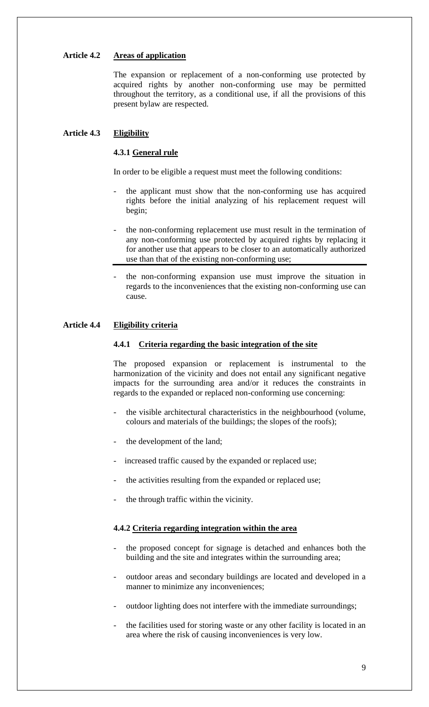## **Article 4.2 Areas of application**

The expansion or replacement of a non-conforming use protected by acquired rights by another non-conforming use may be permitted throughout the territory, as a conditional use, if all the provisions of this present bylaw are respected.

# **Article 4.3 Eligibility**

## **4.3.1 General rule**

In order to be eligible a request must meet the following conditions:

- the applicant must show that the non-conforming use has acquired rights before the initial analyzing of his replacement request will begin;
- the non-conforming replacement use must result in the termination of any non-conforming use protected by acquired rights by replacing it for another use that appears to be closer to an automatically authorized use than that of the existing non-conforming use;
- the non-conforming expansion use must improve the situation in regards to the inconveniences that the existing non-conforming use can cause.

#### **Article 4.4 Eligibility criteria**

#### **4.4.1 Criteria regarding the basic integration of the site**

The proposed expansion or replacement is instrumental to the harmonization of the vicinity and does not entail any significant negative impacts for the surrounding area and/or it reduces the constraints in regards to the expanded or replaced non-conforming use concerning:

- the visible architectural characteristics in the neighbourhood (volume, colours and materials of the buildings; the slopes of the roofs);
- the development of the land;
- increased traffic caused by the expanded or replaced use;
- the activities resulting from the expanded or replaced use;
- the through traffic within the vicinity.

## **4.4.2 Criteria regarding integration within the area**

- the proposed concept for signage is detached and enhances both the building and the site and integrates within the surrounding area;
- outdoor areas and secondary buildings are located and developed in a manner to minimize any inconveniences;
- outdoor lighting does not interfere with the immediate surroundings;
- the facilities used for storing waste or any other facility is located in an area where the risk of causing inconveniences is very low.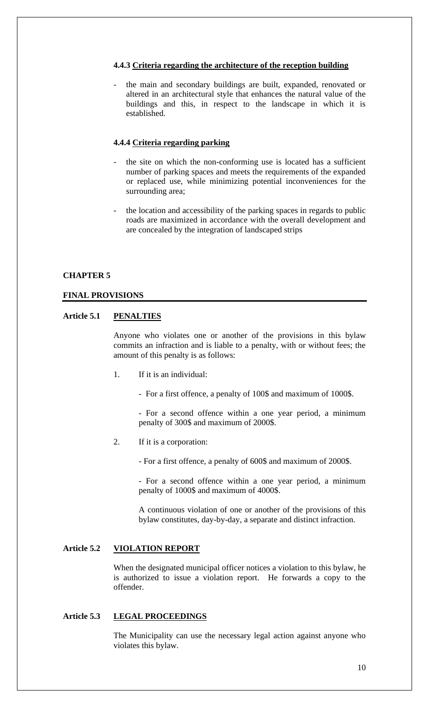## **4.4.3 Criteria regarding the architecture of the reception building**

the main and secondary buildings are built, expanded, renovated or altered in an architectural style that enhances the natural value of the buildings and this, in respect to the landscape in which it is established.

## **4.4.4 Criteria regarding parking**

- the site on which the non-conforming use is located has a sufficient number of parking spaces and meets the requirements of the expanded or replaced use, while minimizing potential inconveniences for the surrounding area;
- the location and accessibility of the parking spaces in regards to public roads are maximized in accordance with the overall development and are concealed by the integration of landscaped strips

#### **CHAPTER 5**

#### **FINAL PROVISIONS**

## **Article 5.1 PENALTIES**

Anyone who violates one or another of the provisions in this bylaw commits an infraction and is liable to a penalty, with or without fees; the amount of this penalty is as follows:

- 1. If it is an individual:
	- For a first offence, a penalty of 100\$ and maximum of 1000\$.

- For a second offence within a one year period, a minimum penalty of 300\$ and maximum of 2000\$.

2. If it is a corporation:

- For a first offence, a penalty of 600\$ and maximum of 2000\$.

- For a second offence within a one year period, a minimum penalty of 1000\$ and maximum of 4000\$.

A continuous violation of one or another of the provisions of this bylaw constitutes, day-by-day, a separate and distinct infraction.

# **Article 5.2 VIOLATION REPORT**

When the designated municipal officer notices a violation to this bylaw, he is authorized to issue a violation report. He forwards a copy to the offender.

# **Article 5.3 LEGAL PROCEEDINGS**

The Municipality can use the necessary legal action against anyone who violates this bylaw.